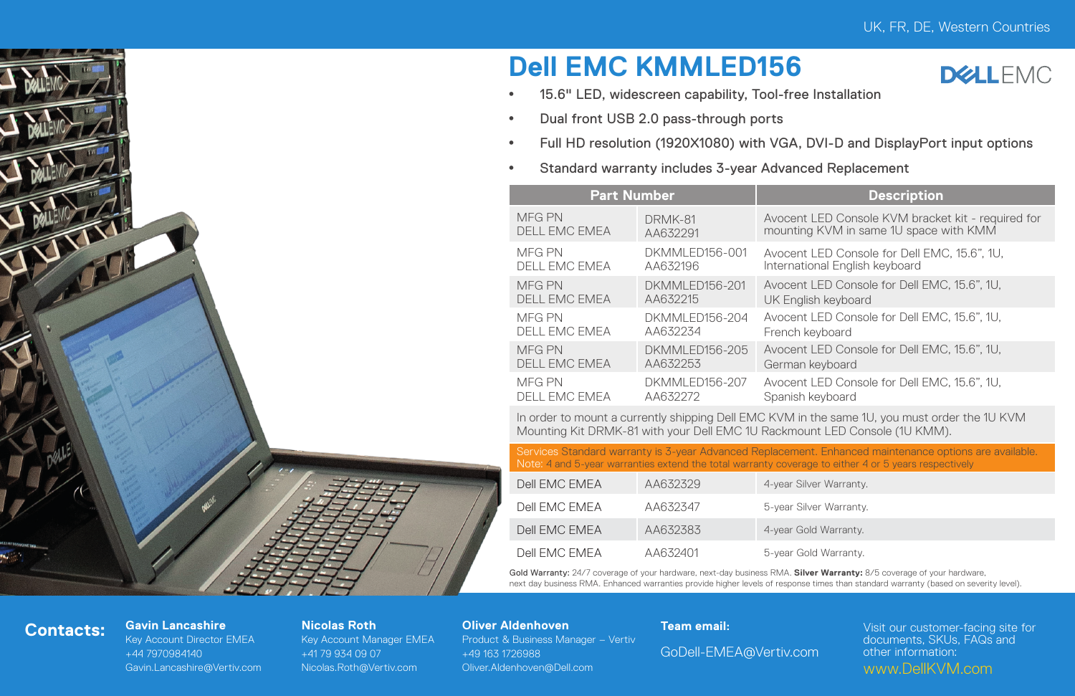# **Dell EMC KMMLED156**



- <sup>\*</sup> 15.6" LED, widescreen capability, Tool-free Installation
- Dual front USB 2.0 pass-through ports
- y Full HD resolution (1920X1080) with VGA, DVI-D and DisplayPort input options
- <sup>•</sup> Standard warranty includes 3-year Advanced Replacement

|  | <b>Part Number</b>                    |                             | <b>Description</b>                                                                           |  |  |  |
|--|---------------------------------------|-----------------------------|----------------------------------------------------------------------------------------------|--|--|--|
|  | <b>MFG PN</b><br><b>DELL EMC EMEA</b> | DRMK-81<br>AA632291         | Avocent LED Console KVM bracket kit - required for<br>mounting KVM in same 1U space with KMM |  |  |  |
|  | MFG PN<br>DELL EMC EMEA               | DKMMI FD156-001<br>AA632196 | Avocent LED Console for Dell EMC, 15.6", 1U,<br>International English keyboard               |  |  |  |
|  | MFG PN<br><b>DELL EMC EMEA</b>        | DKMMI FD156-201<br>AA632215 | Avocent LED Console for Dell EMC, 15.6", 1U.<br>UK English keyboard                          |  |  |  |
|  | MFG PN<br>DELL EMC EMEA               | DKMMI FD156-204<br>AA632234 | Avocent LED Console for Dell EMC, 15.6", 1U.<br>French keyboard                              |  |  |  |
|  | MFG PN<br><b>DELL EMC EMEA</b>        | DKMMI FD156-205<br>AA632253 | Avocent LED Console for Dell EMC, 15.6", 1U.<br>German keyboard                              |  |  |  |
|  | MFG PN<br>DELL EMC EMEA               | DKMMI FD156-207<br>AA632272 | Avocent LED Console for Dell EMC, 15.6", 1U.<br>Spanish keyboard                             |  |  |  |
|  |                                       |                             |                                                                                              |  |  |  |

In order to mount a currently shipping Dell EMC KVM in the same 1U, you must order the 1U KVM Mounting Kit DRMK-81 with your Dell EMC 1U Rackmount LED Console (1U KMM).

Services Standard warranty is 3-year Advanced Replacement. Enhanced maintenance options are available. Note: 4 and 5-year warranties extend the total warranty coverage to either 4 or 5 years respectively

| Dell FMC FMFA | AA632329 | 4-year Silver Warranty. |
|---------------|----------|-------------------------|
| Dell FMC FMFA | AA632347 | 5-year Silver Warranty. |
| Dell FMC FMFA | AA632383 | 4-year Gold Warranty.   |
| Dell FMC FMFA | AA632401 | 5-year Gold Warranty.   |

Gold Warranty: 24/7 coverage of your hardware, next-day business RMA. **Silver Warranty:** 8/5 coverage of your hardware, next day business RMA. Enhanced warranties provide higher levels of response times than standard warranty (based on severity level).

### **Contacts: Gavin Lancashire**

Key Account Director EMEA +44 7970984140 Gavin.Lancashire@Vertiv.com

#### **Nicolas Roth**

Key Account Manager EMEA +41 79 934 09 07 Nicolas.Roth@Vertiv.com

#### **Oliver Aldenhoven**

Product & Business Manager – Vertiv +49 163 1726988 Oliver.Aldenhoven@Dell.com

#### **Team email:**

GoDell-EMEA@Vertiv.com

Visit our customer-facing site for documents, SKUs, FAQs and other information: www.DellKVM.com